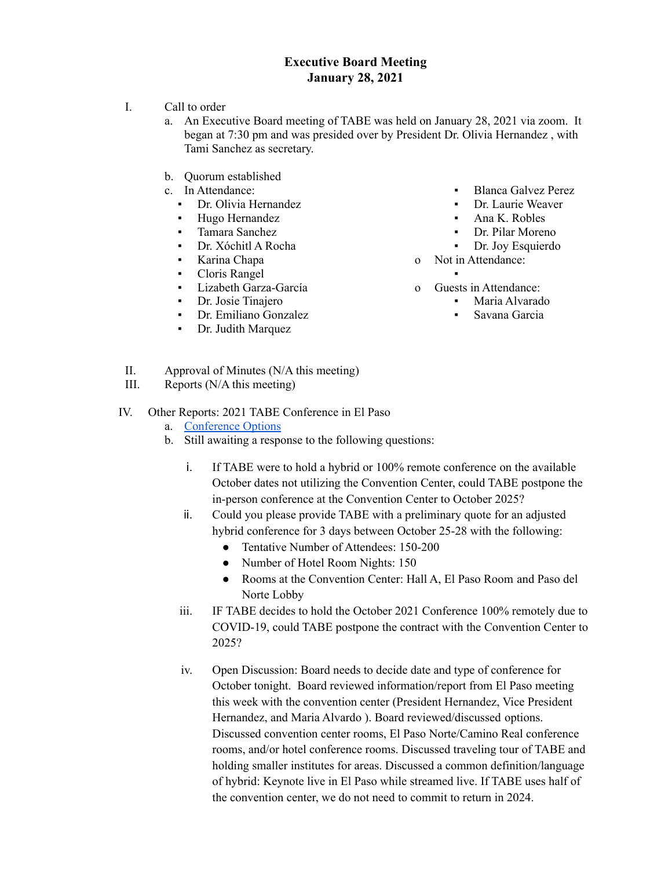## **Executive Board Meeting January 28, 2021**

- I. Call to order
	- a. An Executive Board meeting of TABE was held on January 28, 2021 via zoom. It began at 7:30 pm and was presided over by President Dr. Olivia Hernandez , with Tami Sanchez as secretary.
	- b. Quorum established
	- c. In Attendance:
		- Dr. Olivia Hernandez
		- Hugo Hernandez
		- Tamara Sanchez
		- Dr. Xóchitl A Rocha
		- Karina Chapa
		- Cloris Rangel
		- Lizabeth Garza-García
		- Dr. Josie Tinajero
		- Dr. Emiliano Gonzalez
		- Dr. Judith Marquez
- Blanca Galvez Perez
- Dr. Laurie Weaver
- Ana K. Robles
- Dr. Pilar Moreno
- Dr. Joy Esquierdo
- o Not in Attendance:
	- ▪
- o Guests in Attendance:
	- Maria Alvarado
		- Savana Garcia

- II. Approval of Minutes (N/A this meeting)
- III. Reports (N/A this meeting)

## IV. Other Reports: 2021 TABE Conference in El Paso

- a. [Conference](https://docs.google.com/document/d/1LmTcPBDc7YM71lSzXiI4ffxnPYC3YFsXTtd8hvfi72c/edit?usp=sharing) Options
- b. Still awaiting a response to the following questions:
	- i. If TABE were to hold a hybrid or 100% remote conference on the available October dates not utilizing the Convention Center, could TABE postpone the in-person conference at the Convention Center to October 2025?
	- ii. Could you please provide TABE with a preliminary quote for an adjusted hybrid conference for 3 days between October 25-28 with the following:
		- Tentative Number of Attendees: 150-200
		- Number of Hotel Room Nights: 150
		- Rooms at the Convention Center: Hall A, El Paso Room and Paso del Norte Lobby
	- iii. IF TABE decides to hold the October 2021 Conference 100% remotely due to COVID-19, could TABE postpone the contract with the Convention Center to 2025?
	- iv. Open Discussion: Board needs to decide date and type of conference for October tonight. Board reviewed information/report from El Paso meeting this week with the convention center (President Hernandez, Vice President Hernandez, and Maria Alvardo ). Board reviewed/discussed options. Discussed convention center rooms, El Paso Norte/Camino Real conference rooms, and/or hotel conference rooms. Discussed traveling tour of TABE and holding smaller institutes for areas. Discussed a common definition/language of hybrid: Keynote live in El Paso while streamed live. If TABE uses half of the convention center, we do not need to commit to return in 2024.